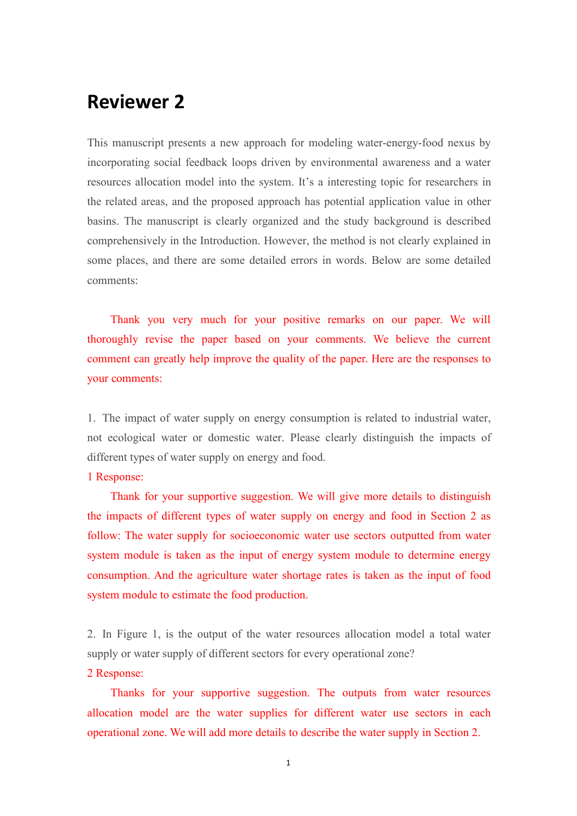# **Reviewer 2**

This manuscript presents a new approach for modeling water-energy-food nexus by incorporating social feedback loops driven by environmental awareness and a water resources allocation model into the system. It's a interesting topic for researchers in the related areas, and the proposed approach has potential application value in other basins. The manuscript is clearly organized and the study background is described comprehensively in the Introduction. However, the method is not clearly explained in some places, and there are some detailed errors in words. Below are some detailed comments:

Thank you very much for your positive remarks on our paper. We will thoroughly revise the paper based on your comments. We believe the current comment can greatly help improve the quality of the paper. Here are the responses to your comments:

1. The impact of water supply on energy consumption is related to industrial water, not ecological water or domestic water. Please clearly distinguish the impacts of different types of water supply on energy and food.

# 1 Response:

Thank for your supportive suggestion. We will give more details to distinguish the impacts of different types of water supply on energy and food in Section 2 as follow: The water supply for socioeconomic water use sectors outputted from water system module is taken as the input of energy system module to determine energy consumption. And the agriculture water shortage rates is taken as the input of food system module to estimate the food production.

2. In Figure 1, is the output of the water resources allocation model a total water supply or water supply of different sectors for every operational zone?

# 2 Response:

Thanks for your supportive suggestion. The outputs from water resources allocation model are the water supplies for different water use sectors in each operational zone. We will add more details to describe the water supply in Section 2.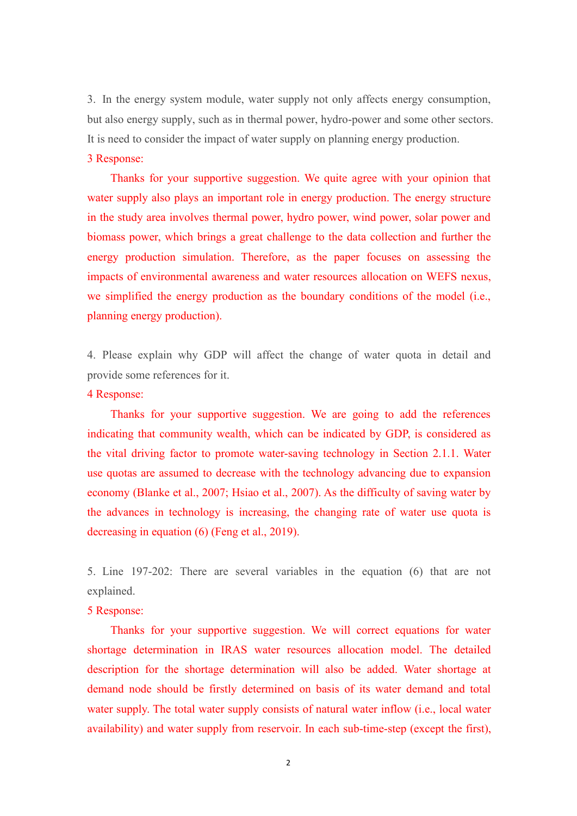3. In the energy system module, water supply not only affects energy consumption, but also energy supply, such as in thermal power, hydro-power and some other sectors. It is need to consider the impact of water supply on planning energy production.3 Response:

Thanks for your supportive suggestion. We quite agree with your opinion that water supply also plays an important role in energy production. The energy structure in the study area involves thermal power, hydro power, wind power, solar power and biomass power, which brings a great challenge to the data collection and further the energy production simulation. Therefore, as the paper focuses on assessing the impacts of environmental awareness and water resources allocation on WEFS nexus, we simplified the energy production as the boundary conditions of the model (i.e., planning energy production).

4. Please explain why GDP will affect the change of water quota in detail and provide some references for it.

#### 4 Response:

Thanks for your supportive suggestion. We are going to add the references indicating that community wealth, which can be indicated by GDP, is considered as the vital driving factor to promote water-saving technology in Section 2.1.1. Water use quotas are assumed to decrease with the technology advancing due to expansion economy (Blanke et al., 2007; Hsiao et al., 2007). As the difficulty of saving water by the advances in technology is increasing, the changing rate of water use quota is decreasing in equation (6) (Feng et al., 2019).

5. Line 197-202: There are several variables in the equation (6) that are not explained.

# 5 Response:

Thanks for your supportive suggestion. We will correct equations for water shortage determination in IRAS water resources allocation model. The detailed description for the shortage determination will also be added. Water shortage at demand node should be firstly determined on basis of its water demand and total water supply. The total water supply consists of natural water inflow (i.e., local water availability) and water supply from reservoir. In each sub-time-step (except the first),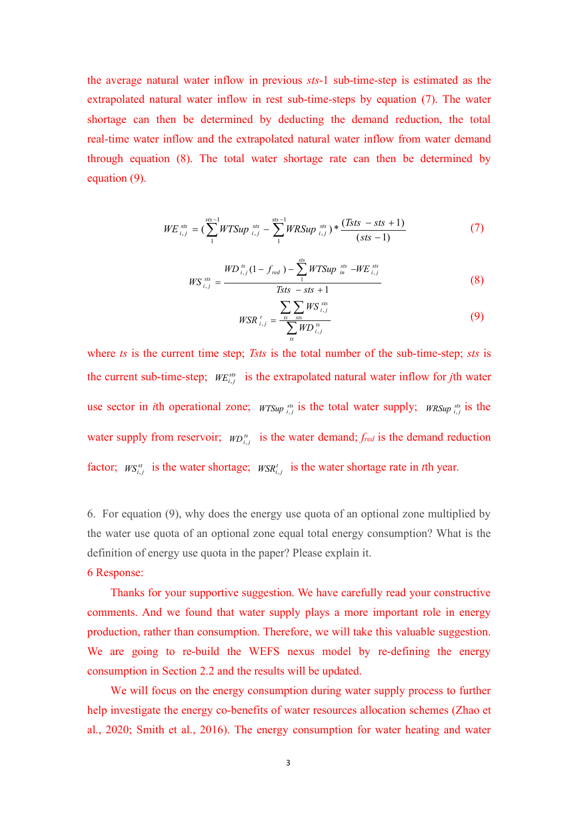the average natural water inflow in previous *sts*-1 sub-time-step is estimated as the extrapolated natural water inflow in rest sub-time-steps by equation (7). The water shortage can then be determined by deducting the demand reduction, the total real-time water inflow and the extrapolated natural water inflow from water demand through equation (8). The total water shortage rate can then be determined by equation (9).

$$
WE_{i,j}^{sts} = (\sum_{1}^{sts-1} WTSup_{i,j}^{sts} - \sum_{1}^{sts-1} WRSup_{i,j}^{sts}) * \frac{(Tsts - sts + 1)}{(sts - 1)}
$$
(7)

$$
WS_{i,j}^{ss} = \frac{WD_{i,j}^{ss}(1 - f_{red}) - \sum_{1}^{sts} WTSup_{in}^{ss} - WE_{i,j}^{ss}}{Tsts - sts + 1}
$$
(8)

$$
WSR_{i,j}^{t} = \frac{\sum_{ts} \sum_{sts} WS_{i,j}^{sts}}{\sum_{ts} WD_{i,j}^{ts}}
$$
(9)

where *ts* is the current time step; *Tsts* is the total number of the sub-time-step; *sts* is the current sub-time-step;  $WE_{i,j}^{ss}$  is the extrapolated natural water inflow for *j*th water use sector in *i*th operational zone;  $WTSup_{i,j}^{ss}$  is the total water supply;  $WRSup_{i,j}^{ss}$  is the water supply from reservoir;  $WD_{i,j}^{ts}$  is the water demand;  $f_{red}$  is the demand reduction factor;  $W\mathcal{S}^{st}_{i,j}$  is the water shortage;  $W\mathcal{S}^{t}_{i,j}$  is the water shortage rate in *t*th year.

6. For equation  $(9)$ , why does the energy use quota of an optional zone multiplied by the water use quota of an optional zone equal total energy consumption? What is the definition of energy use quota in the paper? Please explain it.

#### 6 Response:

Thanks for your supportive suggestion. We have carefully read your constructive comments. And we found that water supply plays a more important role in energy production, rather than consumption. Therefore, we will take this valuable suggestion. We are going to re-build the WEFS nexus model by re-defining the energy consumption in Section 2.2 and the results will be updated.We will focus on the energy consumption during water supply process to further

help investigate the energy co-benefits of water resources allocation schemes (Zhao et al., 2020; Smith et al., 2016). The energy consumption for water heating and water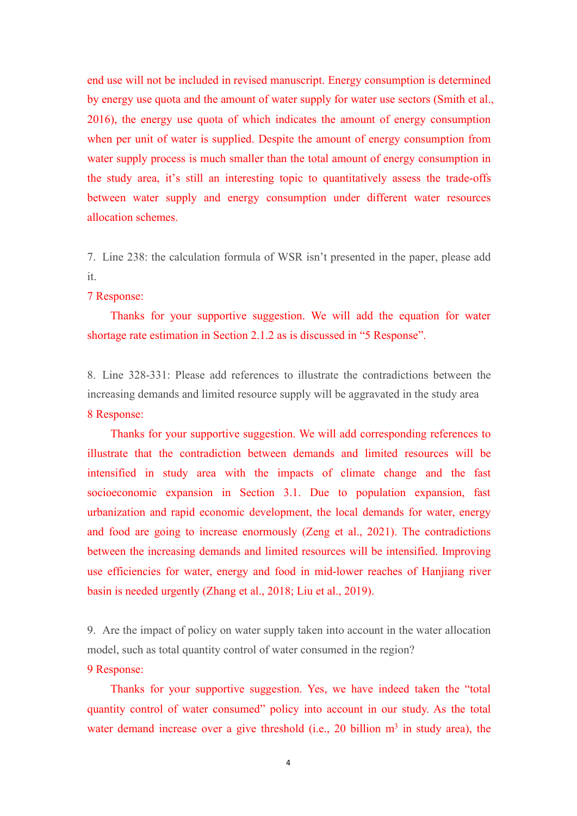end use will not be included in revised manuscript. Energy consumption is determined by energy use quota and the amount of water supply for water use sectors (Smith et al., 2016), the energy use quota of which indicates the amount of energy consumption when per unit of water is supplied. Despite the amount of energy consumption from water supply process is much smaller than the total amount of energy consumption in the study area, it's still an interesting topic to quantitatively assess the trade-offs between water supply and energy consumption under different water resources allocation schemes.

7. Line 238: the calculation formula of WSR isn't presented in the paper, please add it.

#### 7 Response:

Thanks for your supportive suggestion. We will add the equation for water shortage rate estimation in Section 2.1.2 as is discussed in "5 Response".<br>8. Line 328-331: Please add references to illustrate the contradictions between the

increasing demands and limited resource supply will be aggravated in the study area 8 Response:

Thanks for your supportive suggestion. We will add corresponding references to illustrate that the contradiction between demands and limited resources will be intensified in study area with the impacts of climate change and the fast socioeconomic expansion in Section 3.1. Due to population expansion, fast urbanization and rapid economic development, the local demands for water, energy and food are going to increase enormously (Zeng et al., 2021). The contradictions between the increasing demands and limited resources will be intensified. Improving use efficiencies for water, energy and food in mid-lower reaches of Hanjiang river basin is needed urgently (Zhang et al., 2018; Liu et al., 2019).

9. Are the impact of policy on water supply taken into account in the water allocation model, such as total quantity control of water consumed in the region?

#### 9 Response:

Thanks for your supportive suggestion. Yes, we have indeed taken the "total quantity control of water consumed" policy into account in our study. As the total water demand increase over a give threshold (i.e., 20 billion  $m<sup>3</sup>$  in study area), the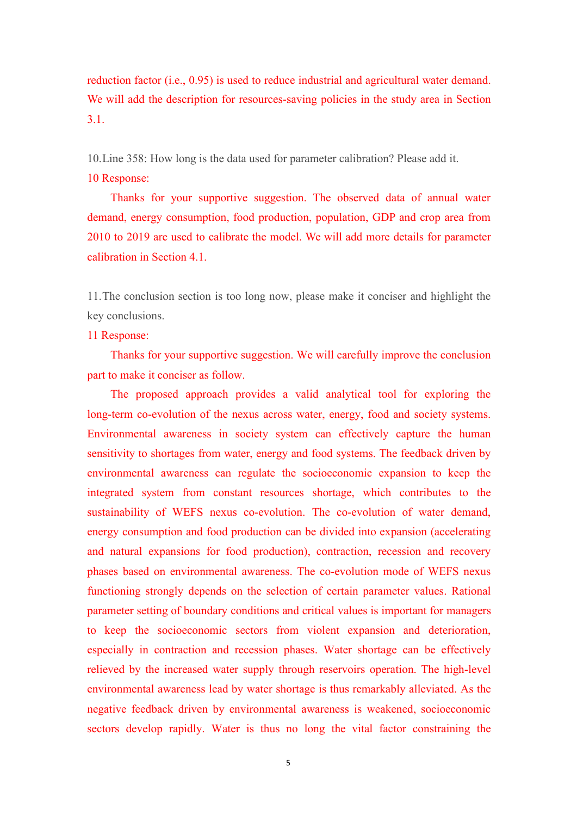reduction factor (i.e., 0.95) is used to reduce industrial and agricultural water demand. We will add the description for resources-saving policies in the study area in Section 3.1.

10.Line 358: How long is the data used for parameter calibration? Please add it.

#### 10 Response:

Thanks for your supportive suggestion. The observed data of annual water demand, energy consumption, food production, population, GDP and crop area from 2010 to 2019 are used to calibrate the model. We will add more details for parameter calibration in Section 4.1.

11.The conclusion section is too long now, please make it conciser and highlight the key conclusions.

## 11 Response:

Thanks for your supportive suggestion. We will carefully improve the conclusion part to make it conciser as follow.

The proposed approach provides a valid analytical tool for exploring the long-term co-evolution of the nexus across water, energy, food and society systems. Environmental awareness in society system can effectively capture the human sensitivity to shortages from water, energy and food systems. The feedback driven by environmental awareness can regulate the socioeconomic expansion to keep the integrated system from constant resources shortage, which contributes to the sustainability of WEFS nexus co-evolution. The co-evolution of water demand, energy consumption and food production can be divided into expansion (accelerating and natural expansions for food production), contraction, recession and recovery phases based on environmental awareness. The co-evolution mode of WEFS nexus functioning strongly depends on the selection of certain parameter values. Rational parameter setting of boundary conditions and critical values is important for managers to keep the socioeconomic sectors from violent expansion and deterioration, especially in contraction and recession phases. Water shortage can be effectively relieved by the increased water supply through reservoirs operation. The high-level environmental awareness lead by water shortage is thus remarkably alleviated. As the negative feedback driven by environmental awareness is weakened, socioeconomic sectors develop rapidly. Water is thus no long the vital factor constraining the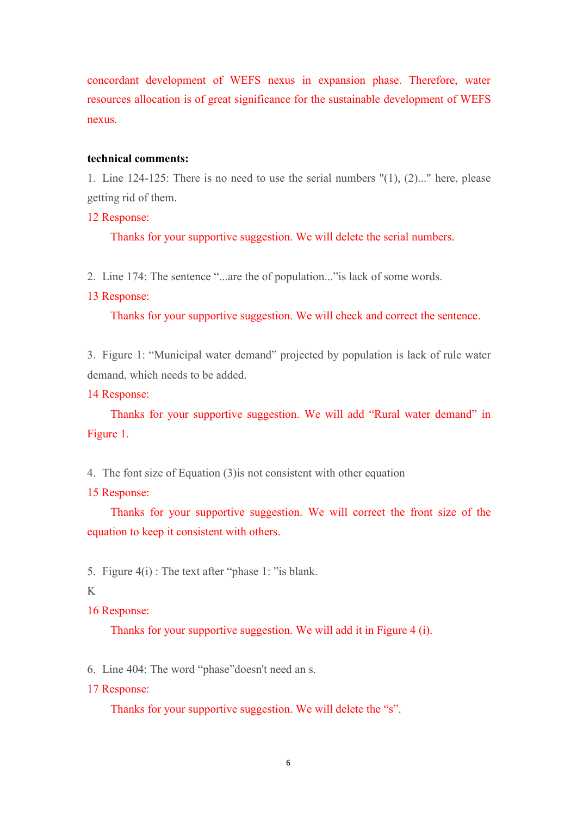concordant development of WEFS nexus in expansion phase. Therefore, water resources allocation is of great significance for the sustainable development of WEFS nexus.

### **technical comments:**

1. Line 124-125: There is no need to use the serial numbers "(1), (2)..." here, please getting rid of them.

## 12 Response:

Thanks for your supportive suggestion. We will delete the serial numbers.

2. Line 174: The sentence "...are the of population..."is lack of some words.

#### 13 Response:

Thanks for your supportive suggestion. We will check and correct the sentence.

3. Figure 1: "Municipal water demand" projected by population is lack of rule water demand, which needs to be added.

#### 14 Response:

Thanks for your supportive suggestion. We will add "Rural water demand" in Figure 1.

4. The font size of Equation (3)is not consistent with other equation

#### 15 Response:

Thanks for your supportive suggestion. We will correct the front size of the equation to keep it consistent with others.

5. Figure 4(i) : The text after "phase 1: "is blank.

# K<sub>k</sub>

16 Response:

Thanks for your supportive suggestion. We will add it in Figure 4 (i).

6. Line 404: The word "phase"doesn't need an s.

17 Response:

Thanks for your supportive suggestion. We will delete the "s".